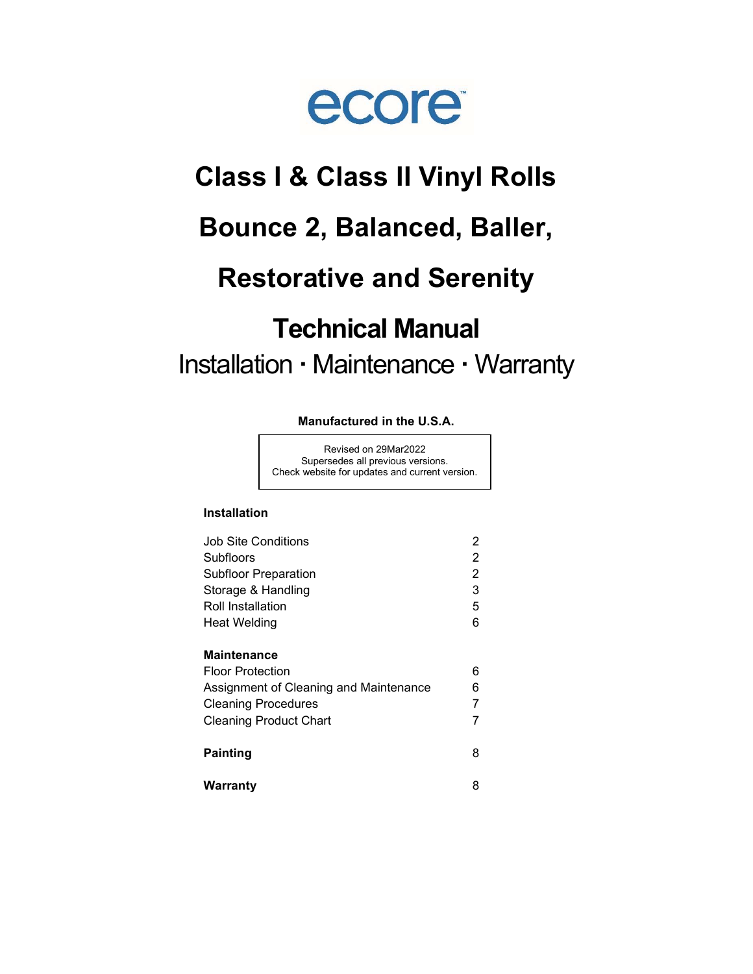

# Class I & Class II Vinyl Rolls

# Bounce 2, Balanced, Baller,

# Restorative and Serenity

# Technical Manual Installation · Maintenance · Warranty

#### Manufactured in the U.S.A.

Revised on 29Mar2022 Supersedes all previous versions. Check website for updates and current version.

#### Installation

| Job Site Conditions                    | 2 |
|----------------------------------------|---|
| <b>Subfloors</b>                       | 2 |
| <b>Subfloor Preparation</b>            | 2 |
| Storage & Handling                     | 3 |
| <b>Roll Installation</b>               | 5 |
| Heat Welding                           | 6 |
| <b>Maintenance</b>                     |   |
| <b>Floor Protection</b>                | 6 |
| Assignment of Cleaning and Maintenance | 6 |
| <b>Cleaning Procedures</b>             | 7 |
| <b>Cleaning Product Chart</b>          | 7 |
| <b>Painting</b>                        | 8 |
| Warranty                               | 8 |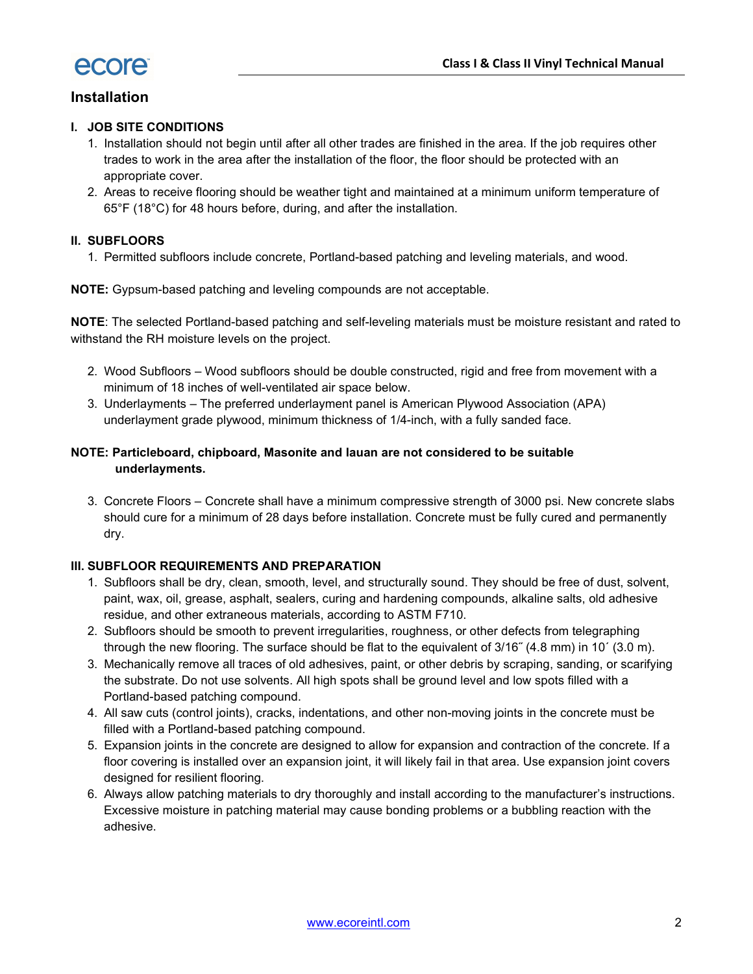

# Installation

#### I. JOB SITE CONDITIONS

- 1. Installation should not begin until after all other trades are finished in the area. If the job requires other trades to work in the area after the installation of the floor, the floor should be protected with an appropriate cover.
- 2. Areas to receive flooring should be weather tight and maintained at a minimum uniform temperature of 65°F (18°C) for 48 hours before, during, and after the installation.

#### II. SUBFLOORS

1. Permitted subfloors include concrete, Portland-based patching and leveling materials, and wood.

NOTE: Gypsum-based patching and leveling compounds are not acceptable.

NOTE: The selected Portland-based patching and self-leveling materials must be moisture resistant and rated to withstand the RH moisture levels on the project.

- 2. Wood Subfloors Wood subfloors should be double constructed, rigid and free from movement with a minimum of 18 inches of well-ventilated air space below.
- 3. Underlayments The preferred underlayment panel is American Plywood Association (APA) underlayment grade plywood, minimum thickness of 1/4-inch, with a fully sanded face.

#### NOTE: Particleboard, chipboard, Masonite and lauan are not considered to be suitable underlayments.

3. Concrete Floors – Concrete shall have a minimum compressive strength of 3000 psi. New concrete slabs should cure for a minimum of 28 days before installation. Concrete must be fully cured and permanently dry.

#### III. SUBFLOOR REQUIREMENTS AND PREPARATION

- 1. Subfloors shall be dry, clean, smooth, level, and structurally sound. They should be free of dust, solvent, paint, wax, oil, grease, asphalt, sealers, curing and hardening compounds, alkaline salts, old adhesive residue, and other extraneous materials, according to ASTM F710.
- 2. Subfloors should be smooth to prevent irregularities, roughness, or other defects from telegraphing through the new flooring. The surface should be flat to the equivalent of 3/16˝ (4.8 mm) in 10´ (3.0 m).
- 3. Mechanically remove all traces of old adhesives, paint, or other debris by scraping, sanding, or scarifying the substrate. Do not use solvents. All high spots shall be ground level and low spots filled with a Portland-based patching compound.
- 4. All saw cuts (control joints), cracks, indentations, and other non-moving joints in the concrete must be filled with a Portland-based patching compound.
- 5. Expansion joints in the concrete are designed to allow for expansion and contraction of the concrete. If a floor covering is installed over an expansion joint, it will likely fail in that area. Use expansion joint covers designed for resilient flooring.
- 6. Always allow patching materials to dry thoroughly and install according to the manufacturer's instructions. Excessive moisture in patching material may cause bonding problems or a bubbling reaction with the adhesive.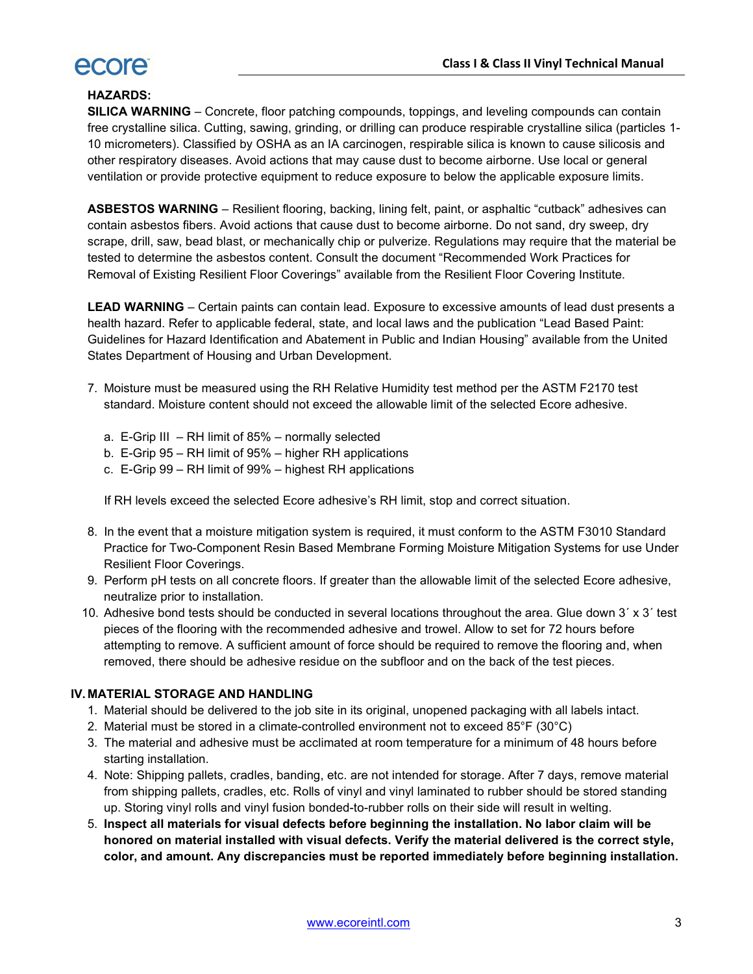

### HAZARDS:

SILICA WARNING – Concrete, floor patching compounds, toppings, and leveling compounds can contain free crystalline silica. Cutting, sawing, grinding, or drilling can produce respirable crystalline silica (particles 1- 10 micrometers). Classified by OSHA as an IA carcinogen, respirable silica is known to cause silicosis and other respiratory diseases. Avoid actions that may cause dust to become airborne. Use local or general ventilation or provide protective equipment to reduce exposure to below the applicable exposure limits.

ASBESTOS WARNING – Resilient flooring, backing, lining felt, paint, or asphaltic "cutback" adhesives can contain asbestos fibers. Avoid actions that cause dust to become airborne. Do not sand, dry sweep, dry scrape, drill, saw, bead blast, or mechanically chip or pulverize. Regulations may require that the material be tested to determine the asbestos content. Consult the document "Recommended Work Practices for Removal of Existing Resilient Floor Coverings" available from the Resilient Floor Covering Institute.

LEAD WARNING – Certain paints can contain lead. Exposure to excessive amounts of lead dust presents a health hazard. Refer to applicable federal, state, and local laws and the publication "Lead Based Paint: Guidelines for Hazard Identification and Abatement in Public and Indian Housing" available from the United States Department of Housing and Urban Development.

- 7. Moisture must be measured using the RH Relative Humidity test method per the ASTM F2170 test standard. Moisture content should not exceed the allowable limit of the selected Ecore adhesive.
	- a. E-Grip III RH limit of 85% normally selected
	- b. E-Grip 95 RH limit of 95% higher RH applications
	- c. E-Grip 99 RH limit of 99% highest RH applications

If RH levels exceed the selected Ecore adhesive's RH limit, stop and correct situation.

- 8. In the event that a moisture mitigation system is required, it must conform to the ASTM F3010 Standard Practice for Two-Component Resin Based Membrane Forming Moisture Mitigation Systems for use Under Resilient Floor Coverings.
- 9. Perform pH tests on all concrete floors. If greater than the allowable limit of the selected Ecore adhesive, neutralize prior to installation.
- 10. Adhesive bond tests should be conducted in several locations throughout the area. Glue down 3´ x 3´ test pieces of the flooring with the recommended adhesive and trowel. Allow to set for 72 hours before attempting to remove. A sufficient amount of force should be required to remove the flooring and, when removed, there should be adhesive residue on the subfloor and on the back of the test pieces.

#### IV. MATERIAL STORAGE AND HANDLING

- 1. Material should be delivered to the job site in its original, unopened packaging with all labels intact.
- 2. Material must be stored in a climate-controlled environment not to exceed 85°F (30°C)
- 3. The material and adhesive must be acclimated at room temperature for a minimum of 48 hours before starting installation.
- 4. Note: Shipping pallets, cradles, banding, etc. are not intended for storage. After 7 days, remove material from shipping pallets, cradles, etc. Rolls of vinyl and vinyl laminated to rubber should be stored standing up. Storing vinyl rolls and vinyl fusion bonded-to-rubber rolls on their side will result in welting.
- 5. Inspect all materials for visual defects before beginning the installation. No labor claim will be honored on material installed with visual defects. Verify the material delivered is the correct style, color, and amount. Any discrepancies must be reported immediately before beginning installation.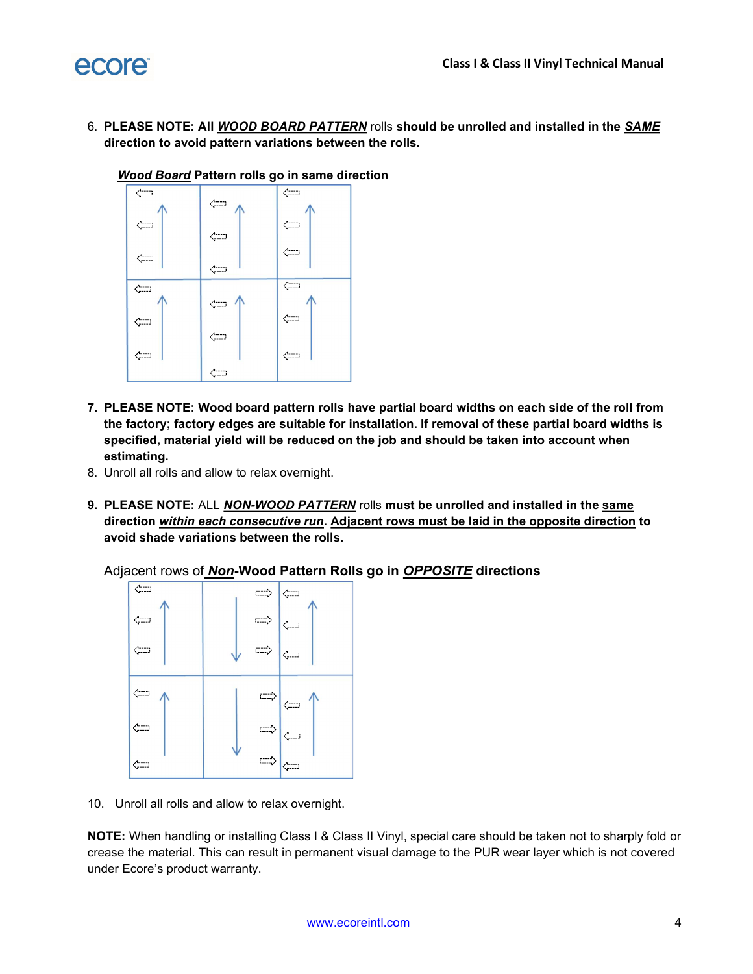

6. PLEASE NOTE: All *WOOD BOARD PATTERN* rolls should be unrolled and installed in the **SAME** direction to avoid pattern variations between the rolls.



**Wood Board Pattern rolls go in same direction** 

- 7. PLEASE NOTE: Wood board pattern rolls have partial board widths on each side of the roll from the factory; factory edges are suitable for installation. If removal of these partial board widths is specified, material yield will be reduced on the job and should be taken into account when estimating.
- 8. Unroll all rolls and allow to relax overnight.
- 9. PLEASE NOTE: ALL NON-WOOD PATTERN rolls must be unrolled and installed in the same direction within each consecutive run. Adjacent rows must be laid in the opposite direction to avoid shade variations between the rolls.

Adjacent rows of **Non-Wood Pattern Rolls go in OPPOSITE directions** 



10. Unroll all rolls and allow to relax overnight.

NOTE: When handling or installing Class I & Class II Vinyl, special care should be taken not to sharply fold or crease the material. This can result in permanent visual damage to the PUR wear layer which is not covered under Ecore's product warranty.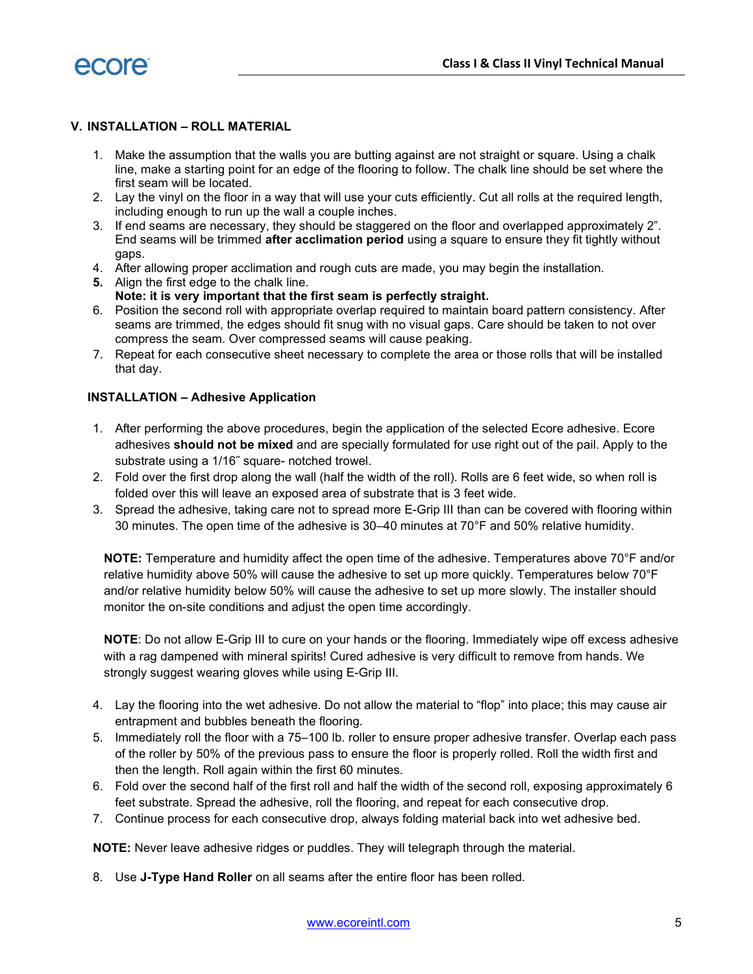

#### V. INSTALLATION – ROLL MATERIAL

- 1. Make the assumption that the walls you are butting against are not straight or square. Using a chalk line, make a starting point for an edge of the flooring to follow. The chalk line should be set where the first seam will be located.
- 2. Lay the vinyl on the floor in a way that will use your cuts efficiently. Cut all rolls at the required length, including enough to run up the wall a couple inches.
- 3. If end seams are necessary, they should be staggered on the floor and overlapped approximately 2". End seams will be trimmed after acclimation period using a square to ensure they fit tightly without gaps.
- 4. After allowing proper acclimation and rough cuts are made, you may begin the installation.
- 5. Align the first edge to the chalk line. Note: it is very important that the first seam is perfectly straight.
- 6. Position the second roll with appropriate overlap required to maintain board pattern consistency. After seams are trimmed, the edges should fit snug with no visual gaps. Care should be taken to not over compress the seam. Over compressed seams will cause peaking.
- 7. Repeat for each consecutive sheet necessary to complete the area or those rolls that will be installed that day.

#### INSTALLATION – Adhesive Application

- 1. After performing the above procedures, begin the application of the selected Ecore adhesive. Ecore adhesives should not be mixed and are specially formulated for use right out of the pail. Apply to the substrate using a 1/16˝ square- notched trowel.
- 2. Fold over the first drop along the wall (half the width of the roll). Rolls are 6 feet wide, so when roll is folded over this will leave an exposed area of substrate that is 3 feet wide.
- 3. Spread the adhesive, taking care not to spread more E-Grip III than can be covered with flooring within 30 minutes. The open time of the adhesive is 30–40 minutes at 70°F and 50% relative humidity.

NOTE: Temperature and humidity affect the open time of the adhesive. Temperatures above 70°F and/or relative humidity above 50% will cause the adhesive to set up more quickly. Temperatures below 70°F and/or relative humidity below 50% will cause the adhesive to set up more slowly. The installer should monitor the on-site conditions and adjust the open time accordingly.

NOTE: Do not allow E-Grip III to cure on your hands or the flooring. Immediately wipe off excess adhesive with a rag dampened with mineral spirits! Cured adhesive is very difficult to remove from hands. We strongly suggest wearing gloves while using E-Grip III.

- 4. Lay the flooring into the wet adhesive. Do not allow the material to "flop" into place; this may cause air entrapment and bubbles beneath the flooring.
- 5. Immediately roll the floor with a 75–100 lb. roller to ensure proper adhesive transfer. Overlap each pass of the roller by 50% of the previous pass to ensure the floor is properly rolled. Roll the width first and then the length. Roll again within the first 60 minutes.
- 6. Fold over the second half of the first roll and half the width of the second roll, exposing approximately 6 feet substrate. Spread the adhesive, roll the flooring, and repeat for each consecutive drop.
- 7. Continue process for each consecutive drop, always folding material back into wet adhesive bed.

NOTE: Never leave adhesive ridges or puddles. They will telegraph through the material.

8. Use J-Type Hand Roller on all seams after the entire floor has been rolled.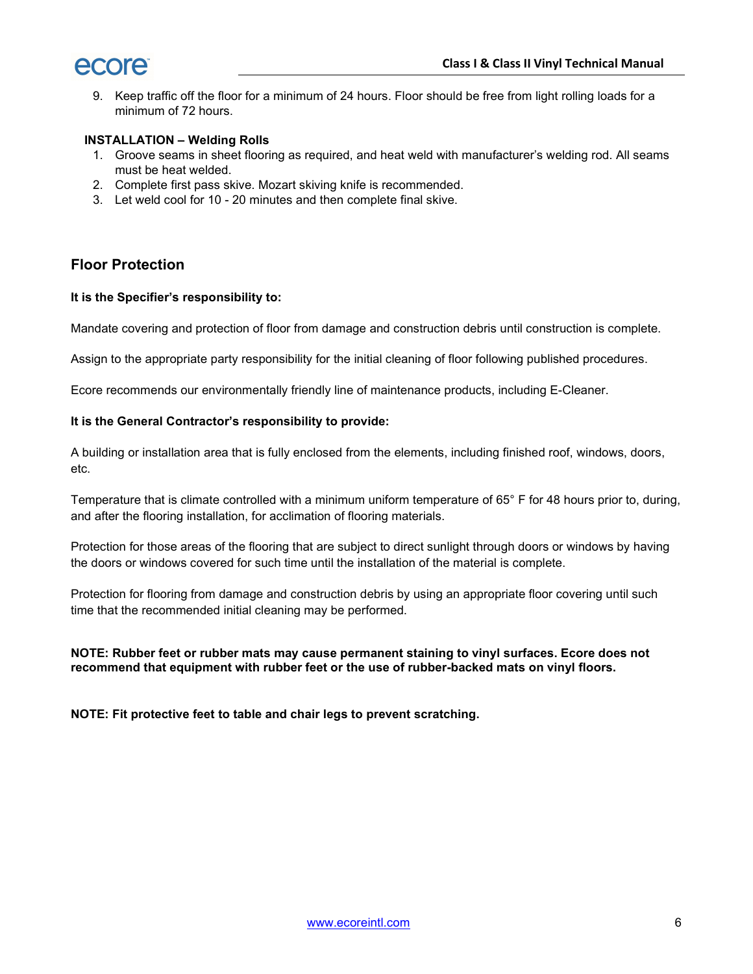

9. Keep traffic off the floor for a minimum of 24 hours. Floor should be free from light rolling loads for a minimum of 72 hours.

#### INSTALLATION – Welding Rolls

- 1. Groove seams in sheet flooring as required, and heat weld with manufacturer's welding rod. All seams must be heat welded.
- 2. Complete first pass skive. Mozart skiving knife is recommended.
- 3. Let weld cool for 10 20 minutes and then complete final skive.

## Floor Protection

#### It is the Specifier's responsibility to:

Mandate covering and protection of floor from damage and construction debris until construction is complete.

Assign to the appropriate party responsibility for the initial cleaning of floor following published procedures.

Ecore recommends our environmentally friendly line of maintenance products, including E-Cleaner.

#### It is the General Contractor's responsibility to provide:

A building or installation area that is fully enclosed from the elements, including finished roof, windows, doors, etc.

Temperature that is climate controlled with a minimum uniform temperature of 65° F for 48 hours prior to, during, and after the flooring installation, for acclimation of flooring materials.

Protection for those areas of the flooring that are subject to direct sunlight through doors or windows by having the doors or windows covered for such time until the installation of the material is complete.

Protection for flooring from damage and construction debris by using an appropriate floor covering until such time that the recommended initial cleaning may be performed.

NOTE: Rubber feet or rubber mats may cause permanent staining to vinyl surfaces. Ecore does not recommend that equipment with rubber feet or the use of rubber-backed mats on vinyl floors.

NOTE: Fit protective feet to table and chair legs to prevent scratching.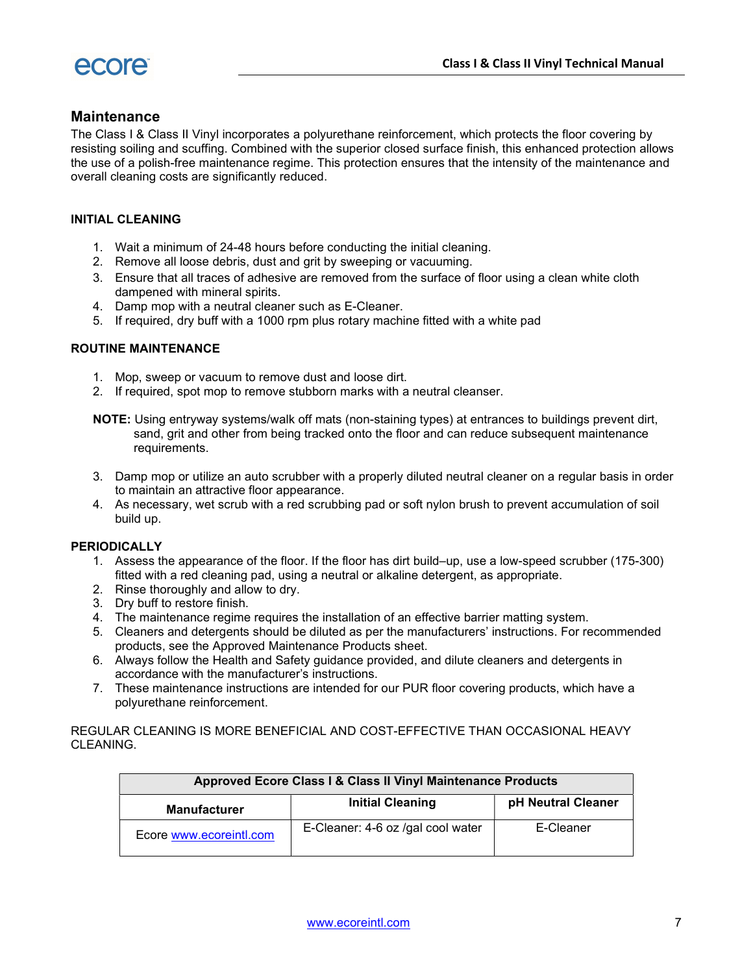

## **Maintenance**

The Class I & Class II Vinyl incorporates a polyurethane reinforcement, which protects the floor covering by resisting soiling and scuffing. Combined with the superior closed surface finish, this enhanced protection allows the use of a polish-free maintenance regime. This protection ensures that the intensity of the maintenance and overall cleaning costs are significantly reduced.

#### INITIAL CLEANING

- 1. Wait a minimum of 24-48 hours before conducting the initial cleaning.
- 2. Remove all loose debris, dust and grit by sweeping or vacuuming.
- 3. Ensure that all traces of adhesive are removed from the surface of floor using a clean white cloth dampened with mineral spirits.
- 4. Damp mop with a neutral cleaner such as E-Cleaner.
- 5. If required, dry buff with a 1000 rpm plus rotary machine fitted with a white pad

#### ROUTINE MAINTENANCE

- 1. Mop, sweep or vacuum to remove dust and loose dirt.
- 2. If required, spot mop to remove stubborn marks with a neutral cleanser.
- NOTE: Using entryway systems/walk off mats (non-staining types) at entrances to buildings prevent dirt, sand, grit and other from being tracked onto the floor and can reduce subsequent maintenance requirements.
- 3. Damp mop or utilize an auto scrubber with a properly diluted neutral cleaner on a regular basis in order to maintain an attractive floor appearance.
- 4. As necessary, wet scrub with a red scrubbing pad or soft nylon brush to prevent accumulation of soil build up.

#### **PERIODICALLY**

- 1. Assess the appearance of the floor. If the floor has dirt build–up, use a low-speed scrubber (175-300) fitted with a red cleaning pad, using a neutral or alkaline detergent, as appropriate.
- 2. Rinse thoroughly and allow to dry.
- 3. Dry buff to restore finish.
- 4. The maintenance regime requires the installation of an effective barrier matting system.
- 5. Cleaners and detergents should be diluted as per the manufacturers' instructions. For recommended products, see the Approved Maintenance Products sheet.
- 6. Always follow the Health and Safety guidance provided, and dilute cleaners and detergents in accordance with the manufacturer's instructions.
- 7. These maintenance instructions are intended for our PUR floor covering products, which have a polyurethane reinforcement.

#### REGULAR CLEANING IS MORE BENEFICIAL AND COST-EFFECTIVE THAN OCCASIONAL HEAVY CLEANING.

| Approved Ecore Class I & Class II Vinyl Maintenance Products |                                   |                    |  |
|--------------------------------------------------------------|-----------------------------------|--------------------|--|
| <b>Manufacturer</b>                                          | <b>Initial Cleaning</b>           | pH Neutral Cleaner |  |
| Ecore www.ecoreintl.com                                      | E-Cleaner: 4-6 oz /gal cool water | E-Cleaner          |  |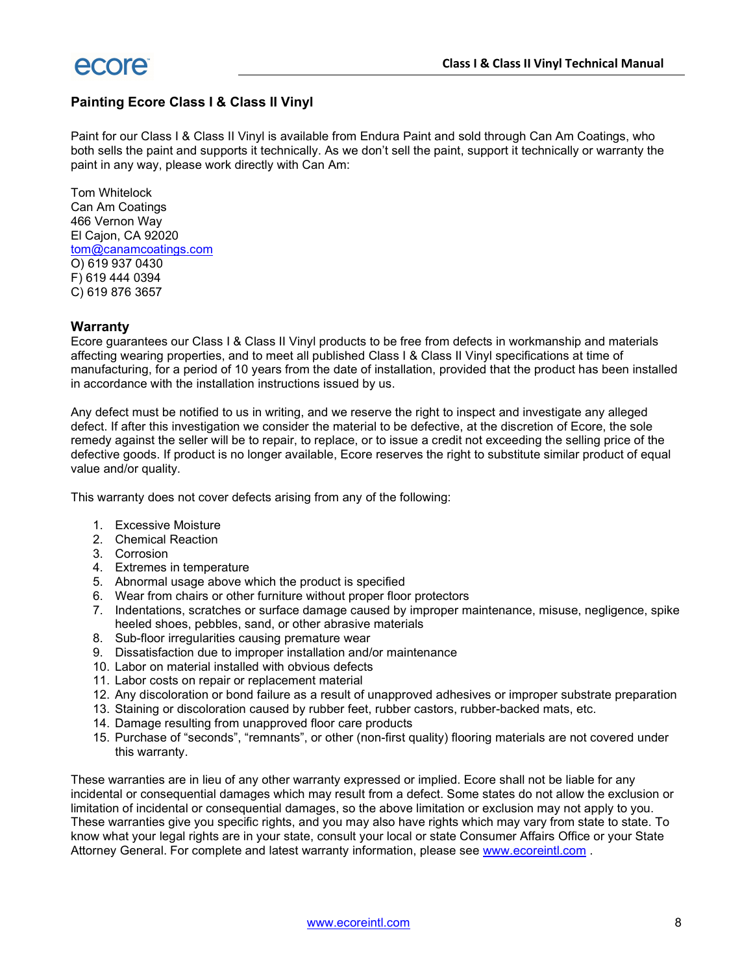

### Painting Ecore Class I & Class II Vinyl

Paint for our Class I & Class II Vinyl is available from Endura Paint and sold through Can Am Coatings, who both sells the paint and supports it technically. As we don't sell the paint, support it technically or warranty the paint in any way, please work directly with Can Am:

Tom Whitelock Can Am Coatings 466 Vernon Way El Cajon, CA 92020 tom@canamcoatings.com O) 619 937 0430 F) 619 444 0394 C) 619 876 3657

#### **Warranty**

Ecore guarantees our Class I & Class II Vinyl products to be free from defects in workmanship and materials affecting wearing properties, and to meet all published Class I & Class II Vinyl specifications at time of manufacturing, for a period of 10 years from the date of installation, provided that the product has been installed in accordance with the installation instructions issued by us.

Any defect must be notified to us in writing, and we reserve the right to inspect and investigate any alleged defect. If after this investigation we consider the material to be defective, at the discretion of Ecore, the sole remedy against the seller will be to repair, to replace, or to issue a credit not exceeding the selling price of the defective goods. If product is no longer available, Ecore reserves the right to substitute similar product of equal value and/or quality.

This warranty does not cover defects arising from any of the following:

- 1. Excessive Moisture
- 2. Chemical Reaction
- 3. Corrosion
- 4. Extremes in temperature
- 5. Abnormal usage above which the product is specified
- 6. Wear from chairs or other furniture without proper floor protectors
- 7. Indentations, scratches or surface damage caused by improper maintenance, misuse, negligence, spike heeled shoes, pebbles, sand, or other abrasive materials
- 8. Sub-floor irregularities causing premature wear
- 9. Dissatisfaction due to improper installation and/or maintenance
- 10. Labor on material installed with obvious defects
- 11. Labor costs on repair or replacement material
- 12. Any discoloration or bond failure as a result of unapproved adhesives or improper substrate preparation
- 13. Staining or discoloration caused by rubber feet, rubber castors, rubber-backed mats, etc.
- 14. Damage resulting from unapproved floor care products
- 15. Purchase of "seconds", "remnants", or other (non-first quality) flooring materials are not covered under this warranty.

These warranties are in lieu of any other warranty expressed or implied. Ecore shall not be liable for any incidental or consequential damages which may result from a defect. Some states do not allow the exclusion or limitation of incidental or consequential damages, so the above limitation or exclusion may not apply to you. These warranties give you specific rights, and you may also have rights which may vary from state to state. To know what your legal rights are in your state, consult your local or state Consumer Affairs Office or your State Attorney General. For complete and latest warranty information, please see www.ecoreintl.com .